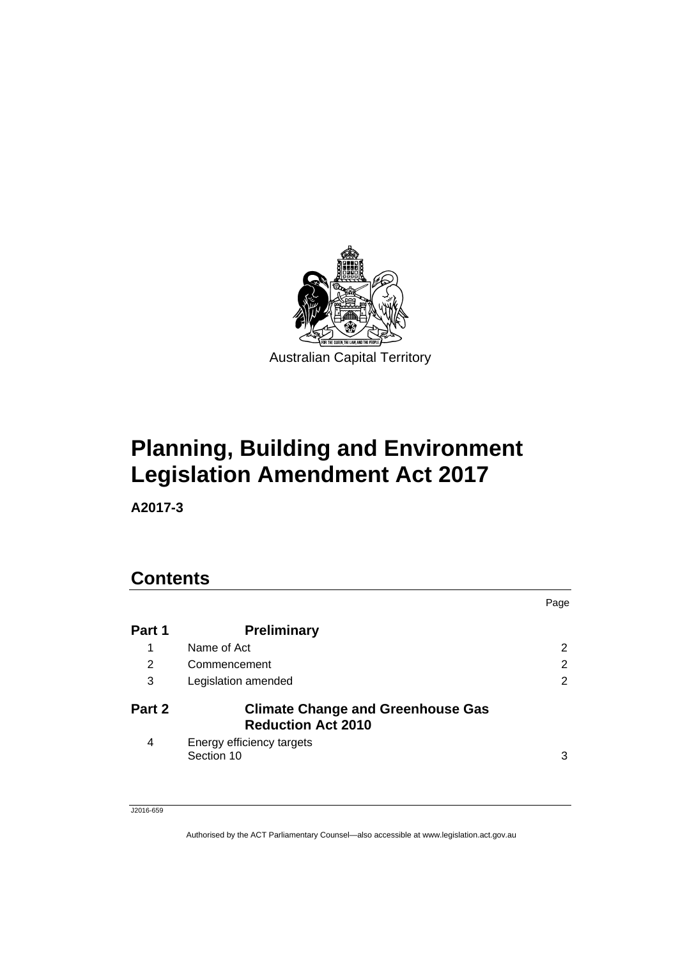

# **Planning, Building and Environment Legislation Amendment Act 2017**

**A2017-3** 

# **Contents**

|        |                                                                       | Page           |
|--------|-----------------------------------------------------------------------|----------------|
| Part 1 | <b>Preliminary</b>                                                    |                |
| 1      | Name of Act                                                           | $\overline{2}$ |
| 2      | Commencement                                                          | 2              |
| 3      | Legislation amended                                                   | $\overline{2}$ |
| Part 2 | <b>Climate Change and Greenhouse Gas</b><br><b>Reduction Act 2010</b> |                |
| 4      | Energy efficiency targets<br>Section 10                               | 3              |

J2016-659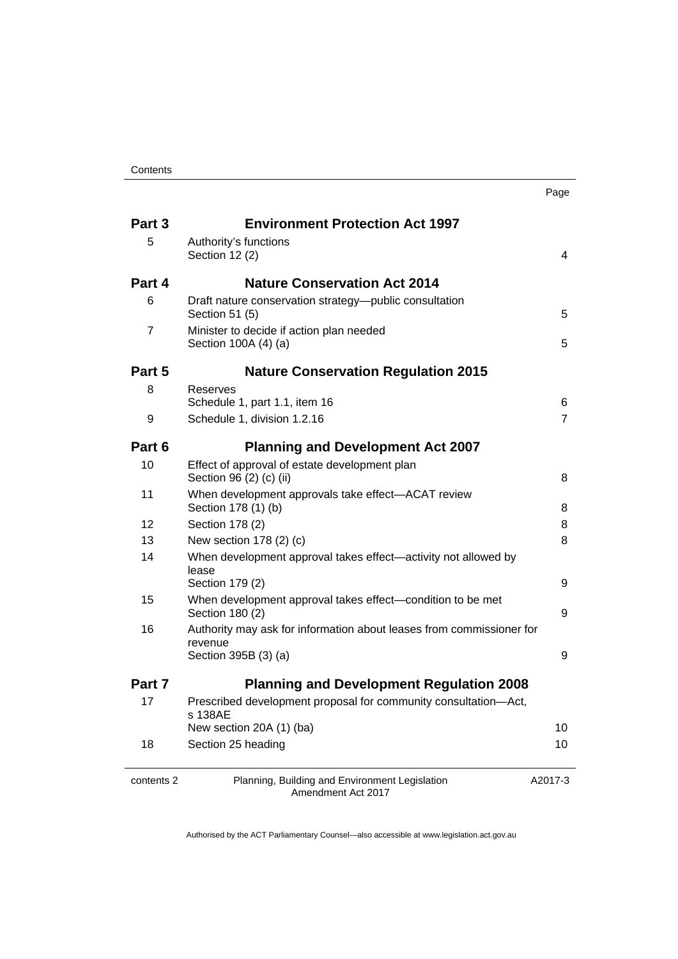| . .<br>×<br>×<br>۰. |
|---------------------|
|---------------------|

| Part 3         | <b>Environment Protection Act 1997</b>                                                     |                     |
|----------------|--------------------------------------------------------------------------------------------|---------------------|
| 5              | Authority's functions<br>Section 12 (2)                                                    | 4                   |
| Part 4         | <b>Nature Conservation Act 2014</b>                                                        |                     |
| 6              | Draft nature conservation strategy-public consultation<br>Section 51 (5)                   | 5                   |
| $\overline{7}$ | Minister to decide if action plan needed<br>Section 100A (4) (a)                           | 5                   |
| Part 5         | <b>Nature Conservation Regulation 2015</b>                                                 |                     |
| 8              | Reserves                                                                                   |                     |
| 9              | Schedule 1, part 1.1, item 16<br>Schedule 1, division 1.2.16                               | 6<br>$\overline{7}$ |
| Part 6         | <b>Planning and Development Act 2007</b>                                                   |                     |
| 10             | Effect of approval of estate development plan<br>Section 96 (2) (c) (ii)                   | 8                   |
| 11             | When development approvals take effect-ACAT review<br>Section 178 (1) (b)                  | 8                   |
| 12             | Section 178 (2)                                                                            | 8                   |
| 13             | New section 178 (2) (c)                                                                    | 8                   |
| 14             | When development approval takes effect-activity not allowed by<br>lease<br>Section 179 (2) | 9                   |
| 15             | When development approval takes effect-condition to be met<br>Section 180 (2)              | 9                   |
| 16             | Authority may ask for information about leases from commissioner for<br>revenue            |                     |
|                | Section 395B (3) (a)                                                                       | 9                   |
| Part 7         | <b>Planning and Development Regulation 2008</b>                                            |                     |
| 17             | Prescribed development proposal for community consultation-Act,<br>s 138AE                 |                     |
|                | New section 20A (1) (ba)                                                                   | 10                  |
| 18             | Section 25 heading                                                                         | 10                  |
| contents 2     | Planning, Building and Environment Legislation<br>Amendment Act 2017                       | A2017-3             |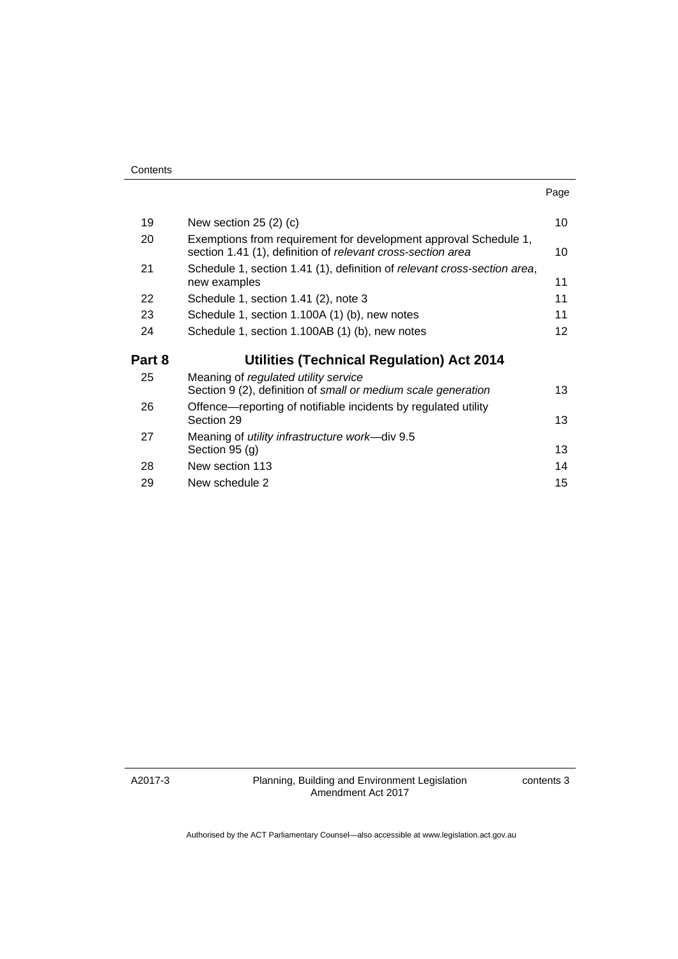| ×<br>× |  |
|--------|--|

| 19     | New section $25(2)(c)$                                                                                                          | 10 |
|--------|---------------------------------------------------------------------------------------------------------------------------------|----|
| 20     | Exemptions from requirement for development approval Schedule 1,<br>section 1.41 (1), definition of relevant cross-section area | 10 |
| 21     | Schedule 1, section 1.41 (1), definition of relevant cross-section area,<br>new examples                                        | 11 |
| 22     | Schedule 1, section 1.41 (2), note 3                                                                                            | 11 |
| 23     | Schedule 1, section 1.100A (1) (b), new notes                                                                                   | 11 |
| 24     | Schedule 1, section 1.100AB (1) (b), new notes                                                                                  | 12 |
|        |                                                                                                                                 |    |
| Part 8 | <b>Utilities (Technical Regulation) Act 2014</b>                                                                                |    |
| 25     | Meaning of regulated utility service<br>Section 9 (2), definition of small or medium scale generation                           | 13 |
| 26     | Offence—reporting of notifiable incidents by regulated utility<br>Section 29                                                    | 13 |
| 27     | Meaning of <i>utility infrastructure work</i> —div 9.5<br>Section 95 (g)                                                        | 13 |
| 28     | New section 113                                                                                                                 | 14 |
| 29     | New schedule 2                                                                                                                  | 15 |

A2017-3

contents 3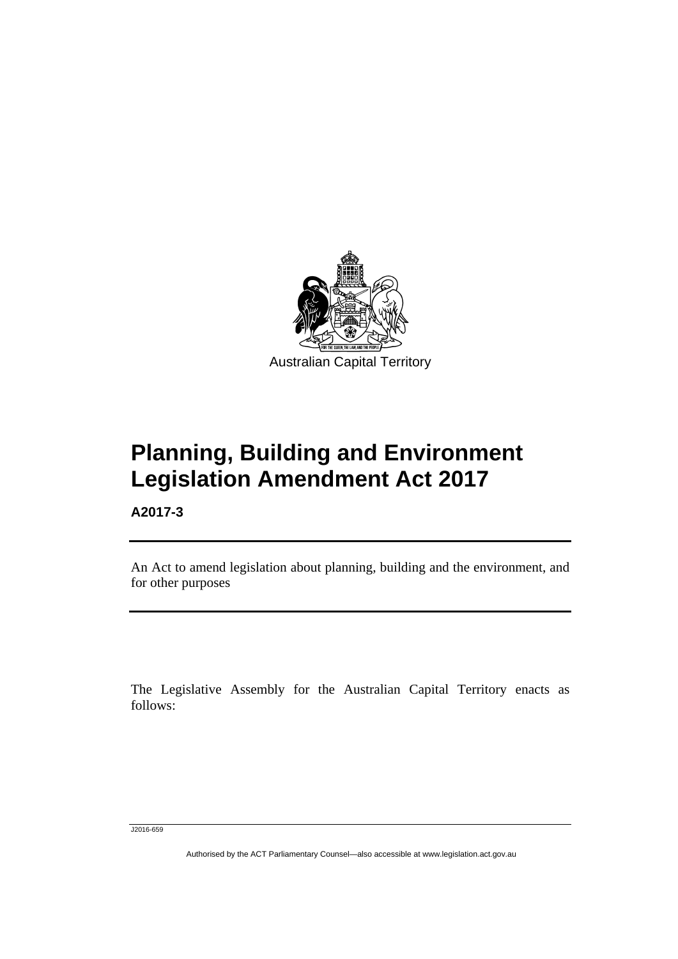

# **Planning, Building and Environment Legislation Amendment Act 2017**

**A2017-3** 

l

An Act to amend legislation about planning, building and the environment, and for other purposes

The Legislative Assembly for the Australian Capital Territory enacts as follows:

J2016-659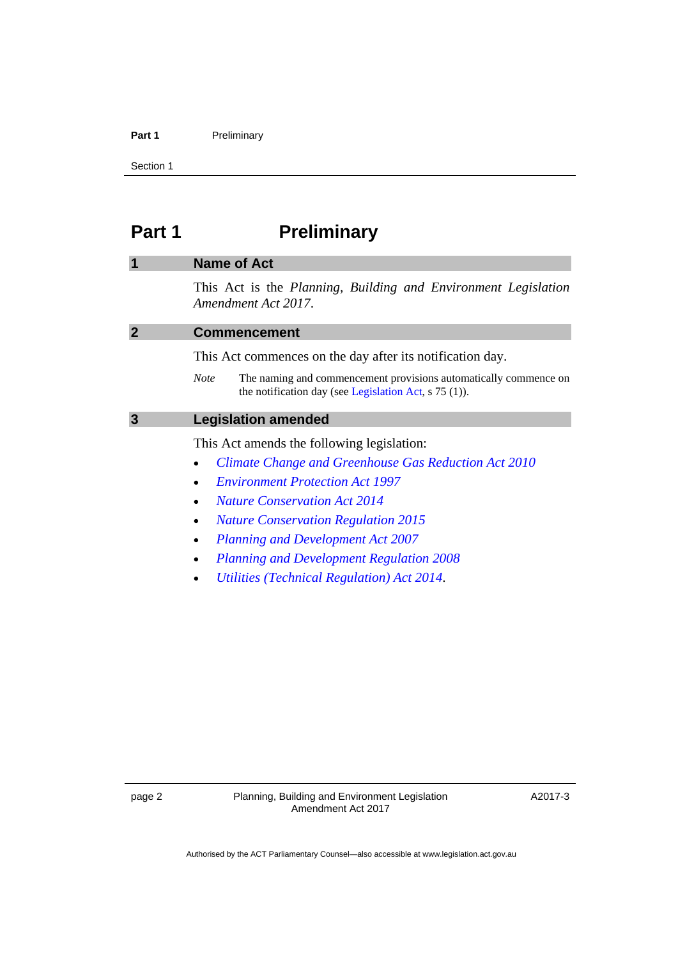#### Part 1 **Preliminary**

Section 1

# <span id="page-5-0"></span>**Part 1** Preliminary

# <span id="page-5-1"></span>**1 Name of Act**

This Act is the *Planning, Building and Environment Legislation Amendment Act 2017*.

<span id="page-5-3"></span><span id="page-5-2"></span>

| <b>Commencement</b>                                                                                                                        |  |
|--------------------------------------------------------------------------------------------------------------------------------------------|--|
| This Act commences on the day after its notification day.                                                                                  |  |
| The naming and commencement provisions automatically commence on<br><b>Note</b><br>the notification day (see Legislation Act, $s$ 75 (1)). |  |
| <b>Legislation amended</b>                                                                                                                 |  |
| This Act amends the following legislation:                                                                                                 |  |
| Climate Change and Greenhouse Gas Reduction Act 2010<br>$\bullet$                                                                          |  |
| <b>Environment Protection Act 1997</b><br>$\bullet$                                                                                        |  |
| <b>Nature Conservation Act 2014</b><br>$\bullet$                                                                                           |  |
| <b>Nature Conservation Regulation 2015</b><br>$\bullet$                                                                                    |  |

- *[Planning and Development Act 2007](http://www.legislation.act.gov.au/a/2007-24)*
- *[Planning and Development Regulation 2008](http://www.legislation.act.gov.au/sl/2008-2)*
- *[Utilities \(Technical Regulation\) Act 2014](http://www.legislation.act.gov.au/a/2014-60)*.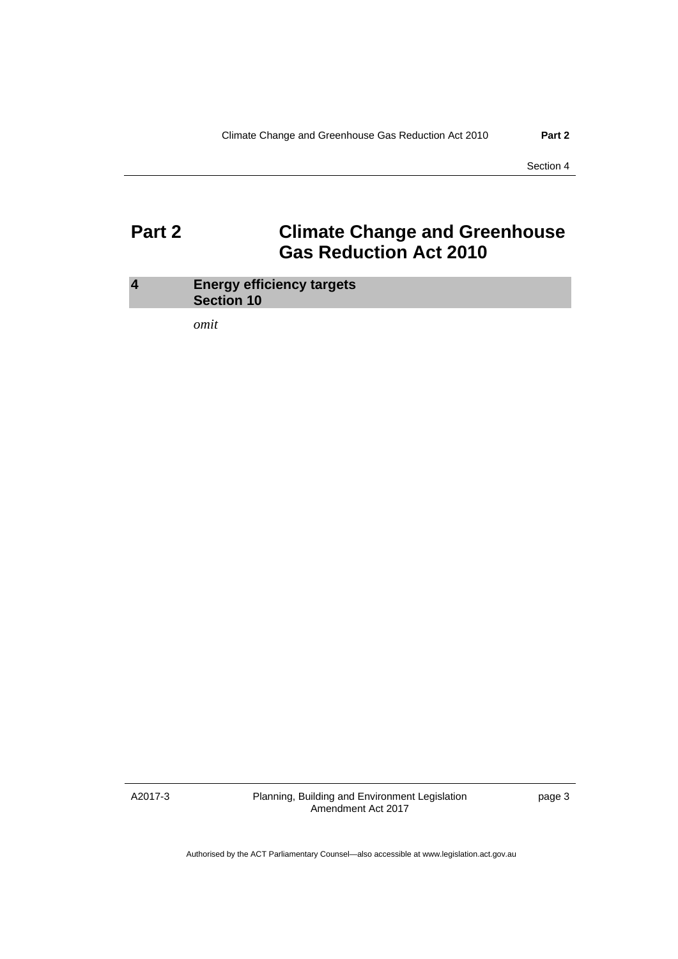# <span id="page-6-0"></span>**Part 2 Climate Change and Greenhouse Gas Reduction Act 2010**

### <span id="page-6-1"></span>**4 Energy efficiency targets Section 10**

*omit* 

A2017-3

Planning, Building and Environment Legislation Amendment Act 2017

page 3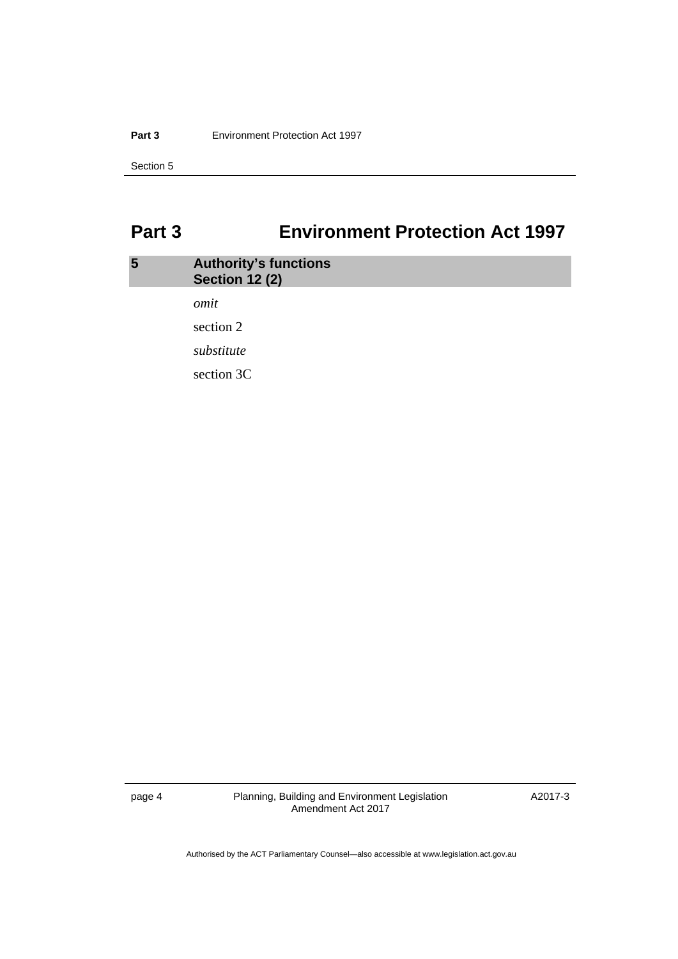#### **Part 3 Environment Protection Act 1997**

Section 5

# <span id="page-7-0"></span>**Part 3 Environment Protection Act 1997**

# <span id="page-7-1"></span>**5 Authority's functions Section 12 (2)**  *omit*  section 2 *substitute*  section 3C

page 4 Planning, Building and Environment Legislation Amendment Act 2017

A2017-3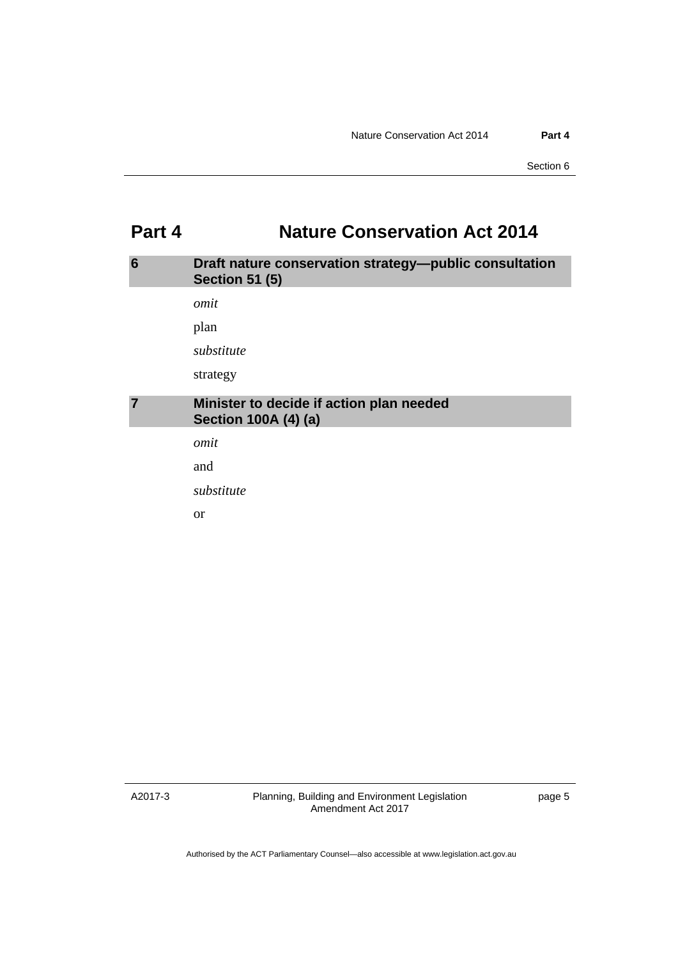# <span id="page-8-0"></span>**Part 4 Nature Conservation Act 2014**

### <span id="page-8-1"></span>**6 Draft nature conservation strategy—public consultation Section 51 (5)**

*omit* 

plan

*substitute* 

strategy

### <span id="page-8-2"></span>**7 Minister to decide if action plan needed Section 100A (4) (a)**

*omit* 

and

*substitute* 

or

A2017-3

Planning, Building and Environment Legislation Amendment Act 2017

page 5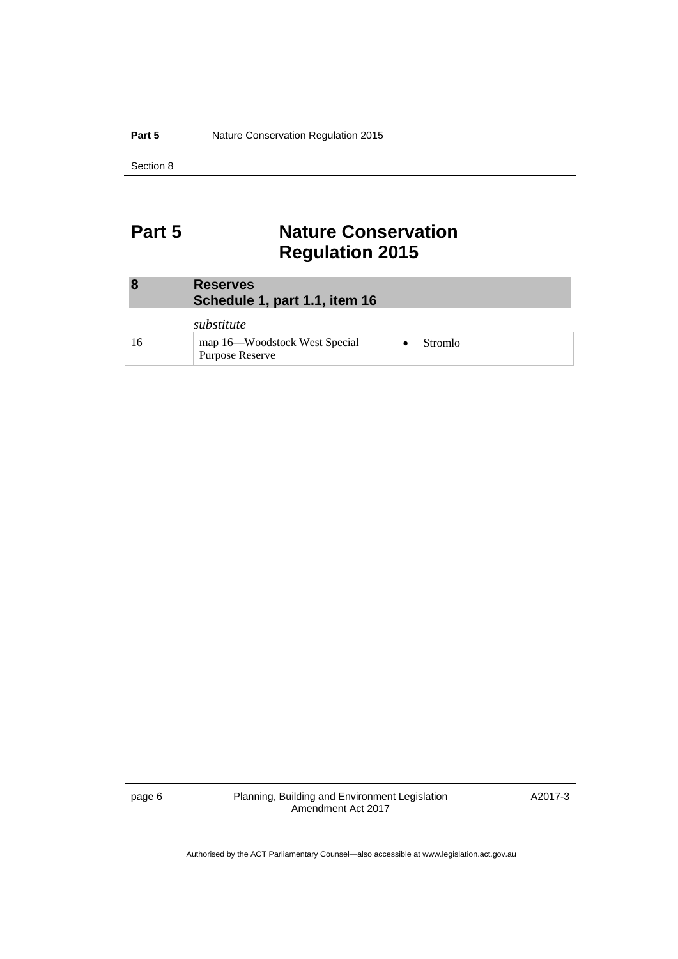#### **Part 5** Nature Conservation Regulation 2015

Section 8

# <span id="page-9-0"></span>**Part 5** Nature Conservation **Regulation 2015**

<span id="page-9-1"></span>

| $\boldsymbol{8}$ | <b>Reserves</b><br>Schedule 1, part 1.1, item 16 |
|------------------|--------------------------------------------------|
|                  | substitute                                       |

| ,,,,,,,,,,,,                                     |         |
|--------------------------------------------------|---------|
| map 16—Woodstock West Special<br>Purpose Reserve | Stromlo |

page 6 Planning, Building and Environment Legislation Amendment Act 2017

A2017-3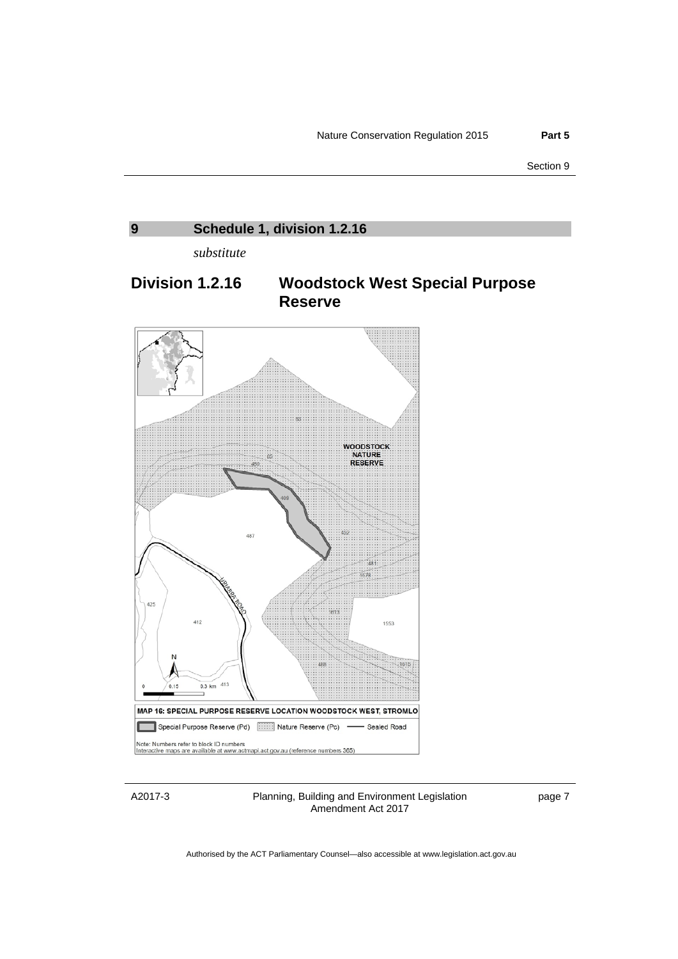<span id="page-10-0"></span>

A2017-3

Planning, Building and Environment Legislation Amendment Act 2017

page 7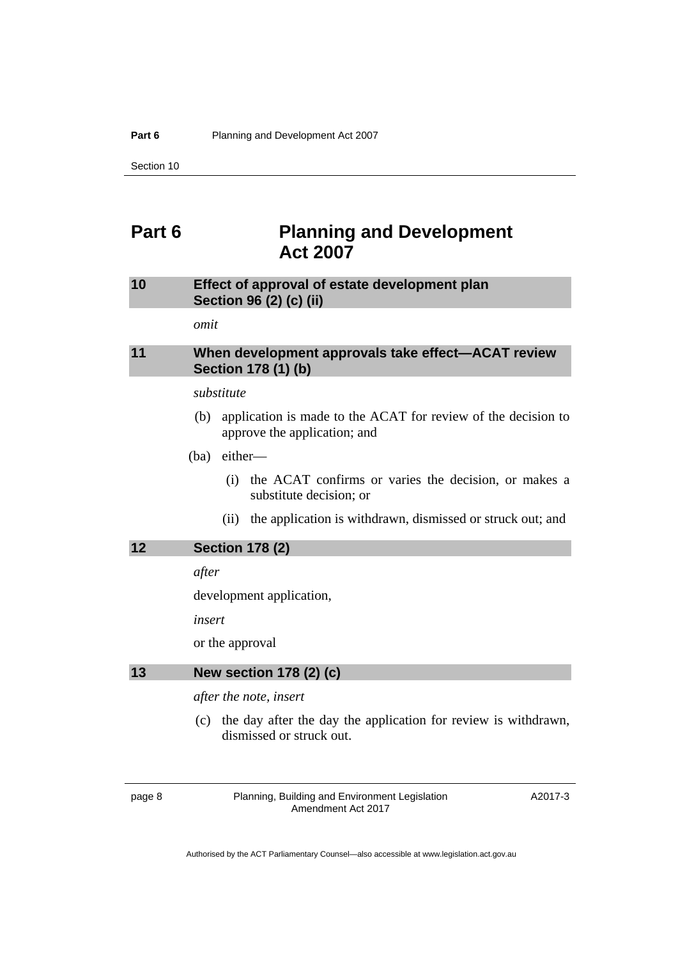# <span id="page-11-0"></span>**Part 6 Planning and Development Act 2007**

### <span id="page-11-1"></span>**10 Effect of approval of estate development plan Section 96 (2) (c) (ii)**

*omit* 

### <span id="page-11-2"></span>**11 When development approvals take effect—ACAT review Section 178 (1) (b)**

### *substitute*

 (b) application is made to the ACAT for review of the decision to approve the application; and

(ba) either—

- (i) the ACAT confirms or varies the decision, or makes a substitute decision; or
- (ii) the application is withdrawn, dismissed or struck out; and

### <span id="page-11-3"></span>**12 Section 178 (2)**

*after* 

development application,

*insert* 

or the approval

### <span id="page-11-4"></span>**13 New section 178 (2) (c)**

*after the note, insert* 

 (c) the day after the day the application for review is withdrawn, dismissed or struck out.

page 8 Planning, Building and Environment Legislation Amendment Act 2017

A2017-3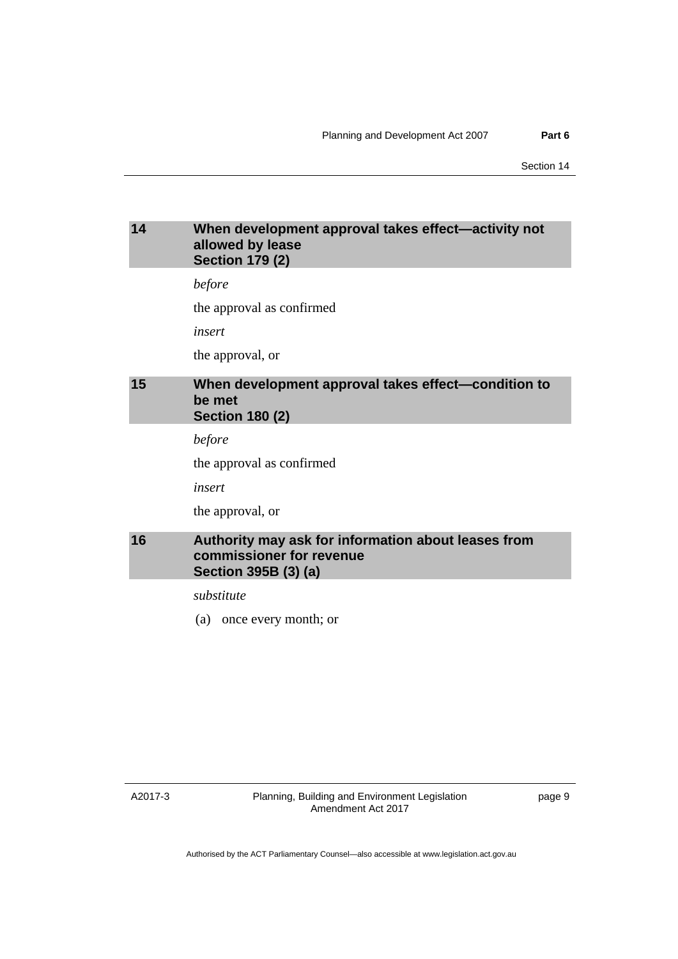### <span id="page-12-0"></span>**14 When development approval takes effect—activity not allowed by lease Section 179 (2)**

*before* 

the approval as confirmed

*insert* 

the approval, or

### <span id="page-12-1"></span>**15 When development approval takes effect—condition to be met Section 180 (2)**

*before* 

the approval as confirmed

*insert* 

the approval, or

### <span id="page-12-2"></span>**16 Authority may ask for information about leases from commissioner for revenue Section 395B (3) (a)**

*substitute* 

(a) once every month; or

A2017-3

Planning, Building and Environment Legislation Amendment Act 2017

page 9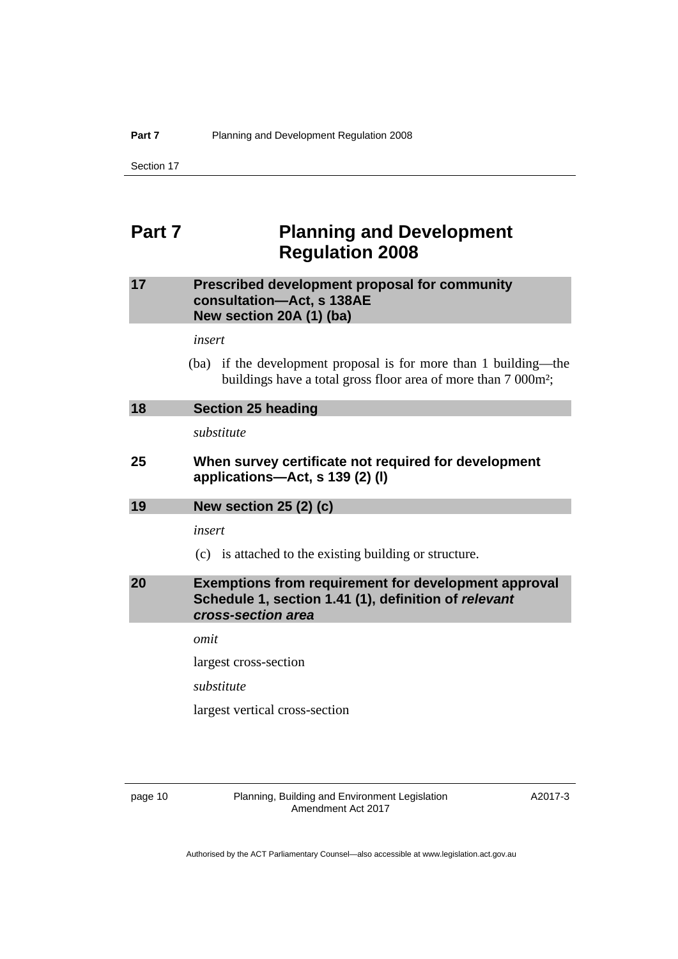# <span id="page-13-0"></span>**Part 7** Planning and Development **Regulation 2008**

### <span id="page-13-1"></span>**17 Prescribed development proposal for community consultation—Act, s 138AE New section 20A (1) (ba)**

*insert* 

 (ba) if the development proposal is for more than 1 building—the buildings have a total gross floor area of more than 7 000m²;

<span id="page-13-4"></span><span id="page-13-3"></span><span id="page-13-2"></span>

| 18 | <b>Section 25 heading</b>                                                                                                                 |
|----|-------------------------------------------------------------------------------------------------------------------------------------------|
|    | substitute                                                                                                                                |
| 25 | When survey certificate not required for development<br>applications—Act, s 139 (2) (I)                                                   |
| 19 | <b>New section 25 (2) (c)</b>                                                                                                             |
|    | insert                                                                                                                                    |
|    | (c) is attached to the existing building or structure.                                                                                    |
|    |                                                                                                                                           |
| 20 | <b>Exemptions from requirement for development approval</b><br>Schedule 1, section 1.41 (1), definition of relevant<br>cross-section area |
|    | omit                                                                                                                                      |
|    | largest cross-section                                                                                                                     |
|    | substitute                                                                                                                                |
|    | largest vertical cross-section                                                                                                            |

page 10 Planning, Building and Environment Legislation Amendment Act 2017

A2017-3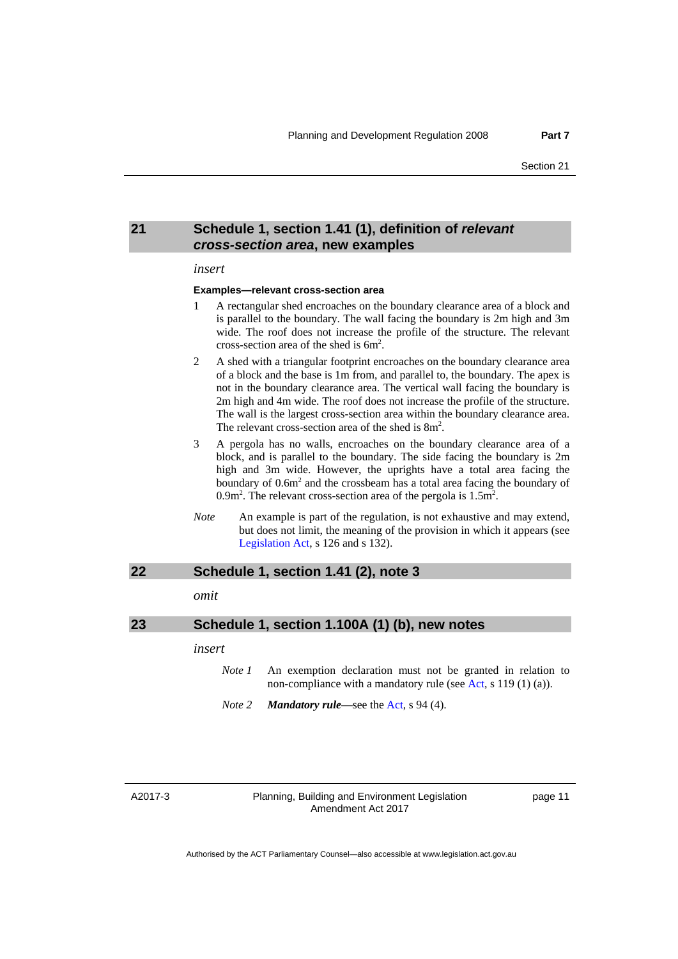#### <span id="page-14-0"></span>**21 Schedule 1, section 1.41 (1), definition of** *relevant cross-section area***, new examples**

#### *insert*

#### **Examples—relevant cross-section area**

- 1 A rectangular shed encroaches on the boundary clearance area of a block and is parallel to the boundary. The wall facing the boundary is 2m high and 3m wide. The roof does not increase the profile of the structure. The relevant cross-section area of the shed is 6m<sup>2</sup>.
- 2 A shed with a triangular footprint encroaches on the boundary clearance area of a block and the base is 1m from, and parallel to, the boundary. The apex is not in the boundary clearance area. The vertical wall facing the boundary is 2m high and 4m wide. The roof does not increase the profile of the structure. The wall is the largest cross-section area within the boundary clearance area. The relevant cross-section area of the shed is 8m<sup>2</sup>.
- 3 A pergola has no walls, encroaches on the boundary clearance area of a block, and is parallel to the boundary. The side facing the boundary is 2m high and 3m wide. However, the uprights have a total area facing the boundary of  $0.6m<sup>2</sup>$  and the crossbeam has a total area facing the boundary of 0.9m<sup>2</sup>. The relevant cross-section area of the pergola is  $1.5m<sup>2</sup>$ .
- *Note* An example is part of the regulation, is not exhaustive and may extend, but does not limit, the meaning of the provision in which it appears (see [Legislation Act,](http://www.legislation.act.gov.au/a/2001-14) s 126 and s 132).

#### <span id="page-14-1"></span>**22 Schedule 1, section 1.41 (2), note 3**

*omit* 

<span id="page-14-2"></span>

| 23 |        | Schedule 1, section 1.100A (1) (b), new notes                                                                                 |
|----|--------|-------------------------------------------------------------------------------------------------------------------------------|
|    | insert |                                                                                                                               |
|    | Note 1 | An exemption declaration must not be granted in relation to<br>non-compliance with a mandatory rule (see Act, s 119 (1) (a)). |
|    | Note 2 | <b>Mandatory rule</b> —see the Act, s 94 (4).                                                                                 |

#### A2017-3

Planning, Building and Environment Legislation Amendment Act 2017

page 11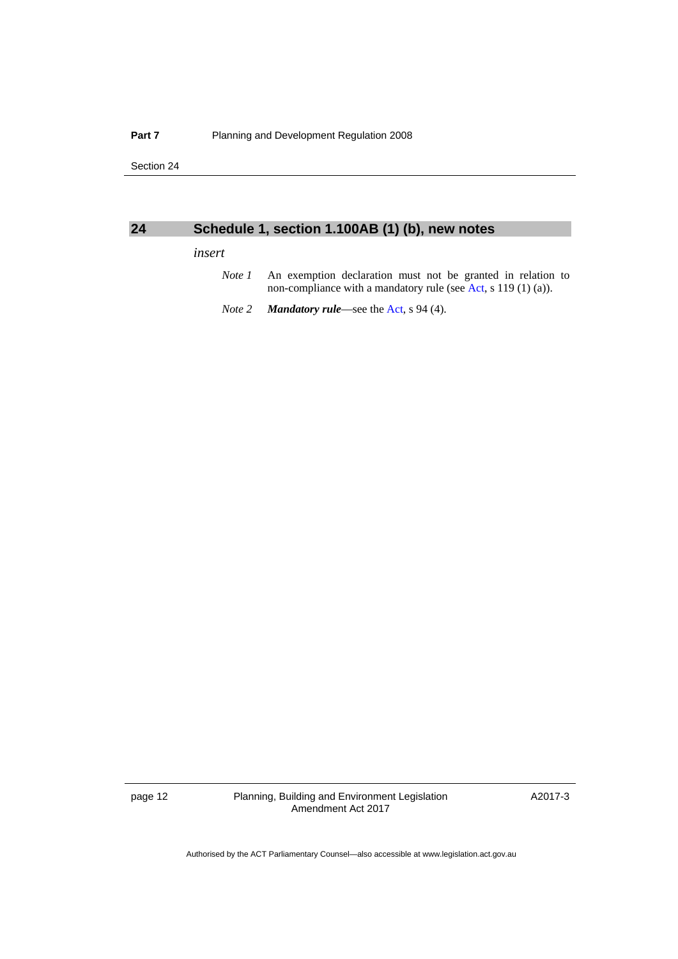### <span id="page-15-0"></span>**24 Schedule 1, section 1.100AB (1) (b), new notes**

#### *insert*

- *Note 1* An exemption declaration must not be granted in relation to non-compliance with a mandatory rule (see [Act,](http://www.legislation.act.gov.au/a/2007-24/default.asp) s 119 (1) (a)).
- *Note 2 Mandatory rule*—see the [Act](http://www.legislation.act.gov.au/a/2007-24/default.asp), s 94 (4).

page 12 Planning, Building and Environment Legislation Amendment Act 2017

A2017-3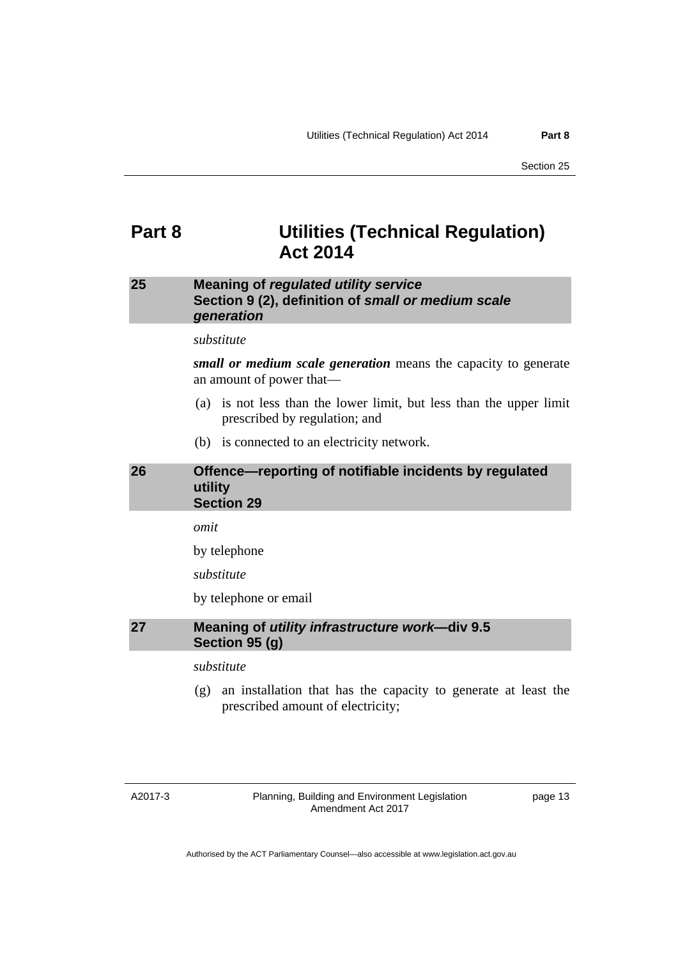# <span id="page-16-0"></span>**Part 8 Utilities (Technical Regulation) Act 2014**

### <span id="page-16-1"></span>**25 Meaning of** *regulated utility service*  **Section 9 (2), definition of** *small or medium scale generation*

#### *substitute*

*small or medium scale generation* means the capacity to generate an amount of power that—

- (a) is not less than the lower limit, but less than the upper limit prescribed by regulation; and
- (b) is connected to an electricity network.

#### <span id="page-16-2"></span>**26 Offence—reporting of notifiable incidents by regulated utility Section 29**

*omit* 

by telephone

*substitute* 

by telephone or email

#### <span id="page-16-3"></span>**27 Meaning of** *utility infrastructure work***—div 9.5 Section 95 (g)**

#### *substitute*

 (g) an installation that has the capacity to generate at least the prescribed amount of electricity;

page 13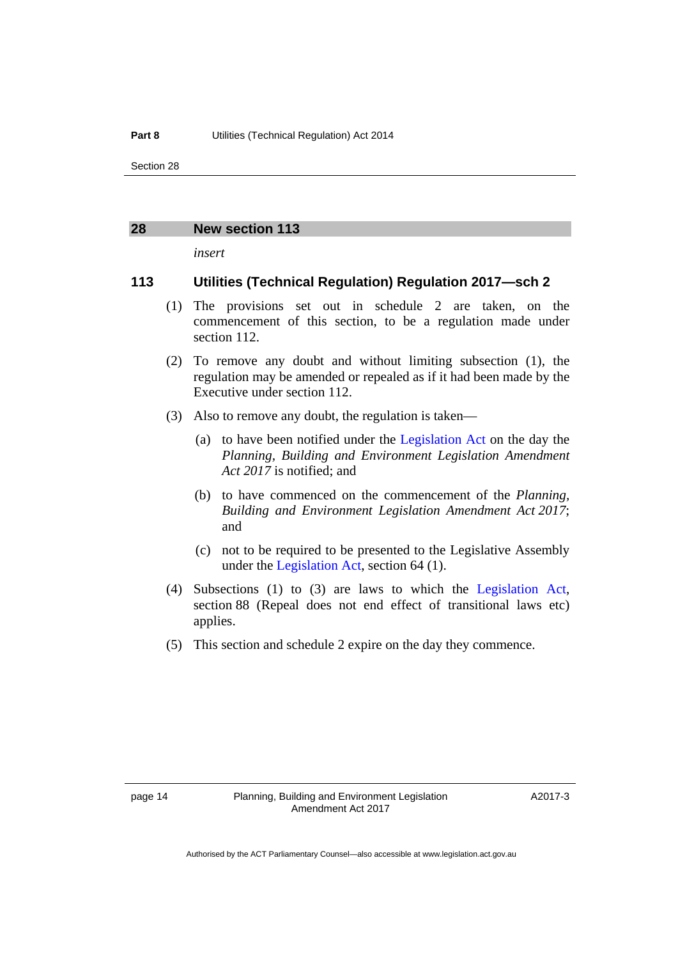#### <span id="page-17-0"></span>**28 New section 113**

*insert* 

#### **113 Utilities (Technical Regulation) Regulation 2017—sch 2**

- (1) The provisions set out in schedule 2 are taken, on the commencement of this section, to be a regulation made under section 112.
- (2) To remove any doubt and without limiting subsection (1), the regulation may be amended or repealed as if it had been made by the Executive under section 112.
- (3) Also to remove any doubt, the regulation is taken—
	- (a) to have been notified under the [Legislation Act](http://www.legislation.act.gov.au/a/2001-14) on the day the *Planning, Building and Environment Legislation Amendment Act 2017* is notified; and
	- (b) to have commenced on the commencement of the *Planning, Building and Environment Legislation Amendment Act 2017*; and
	- (c) not to be required to be presented to the Legislative Assembly under the [Legislation Act](http://www.legislation.act.gov.au/a/2001-14), section 64 (1).
- (4) Subsections (1) to (3) are laws to which the [Legislation Act](http://www.legislation.act.gov.au/a/2001-14), section 88 (Repeal does not end effect of transitional laws etc) applies.
- (5) This section and schedule 2 expire on the day they commence.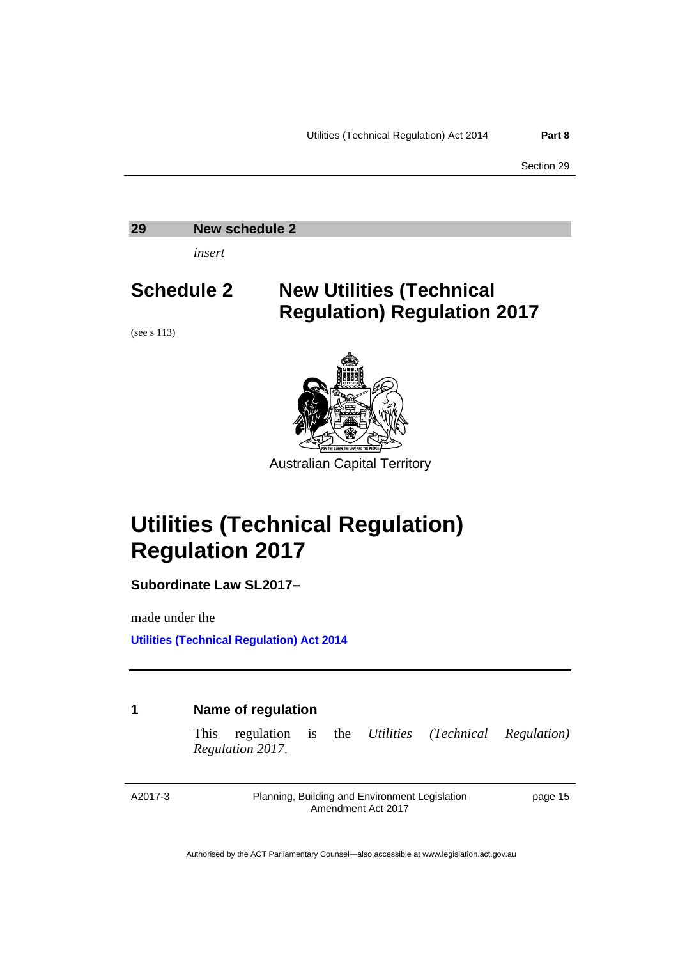#### <span id="page-18-0"></span>**29 New schedule 2**

*insert* 

(see s 113)

# **Schedule 2 New Utilities (Technical Regulation) Regulation 2017**



Australian Capital Territory

# **Utilities (Technical Regulation) Regulation 2017**

**Subordinate Law SL2017–**

made under the

**[Utilities \(Technical Regulation\) Act 2014](http://www.legislation.act.gov.au/a/2014-60/default.asp)**

### **1 Name of regulation**

This regulation is the *Utilities (Technical Regulation) Regulation 2017*.

A2017-3

Planning, Building and Environment Legislation Amendment Act 2017

page 15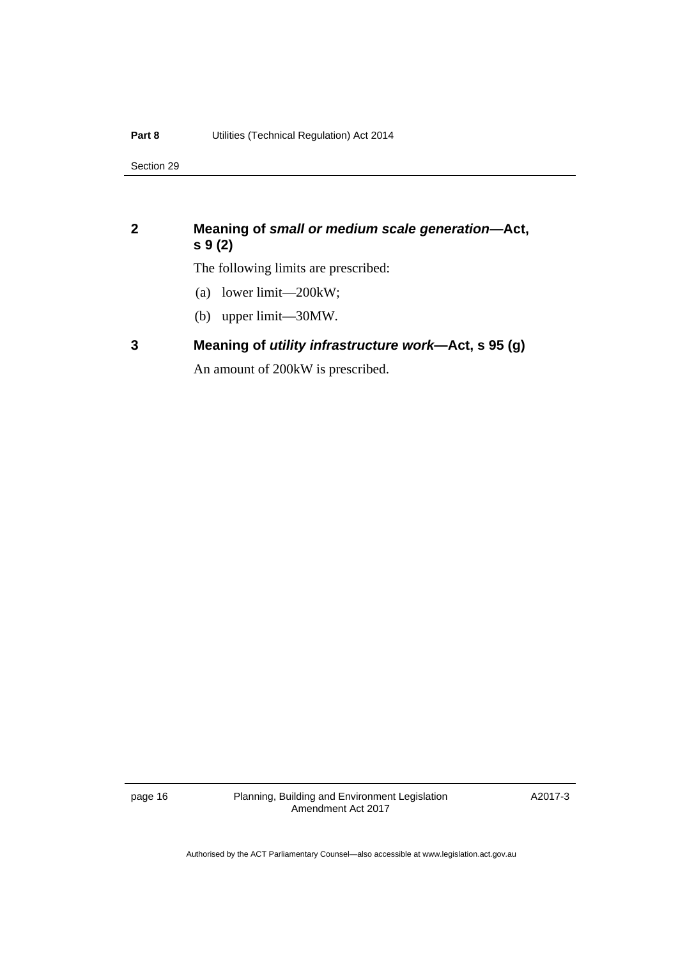# **2 Meaning of** *small or medium scale generation***—Act, s 9 (2)**

The following limits are prescribed:

- (a) lower limit—200kW;
- (b) upper limit—30MW.

# **3 Meaning of** *utility infrastructure work***—Act, s 95 (g)**

An amount of 200kW is prescribed.

page 16 Planning, Building and Environment Legislation Amendment Act 2017

A2017-3